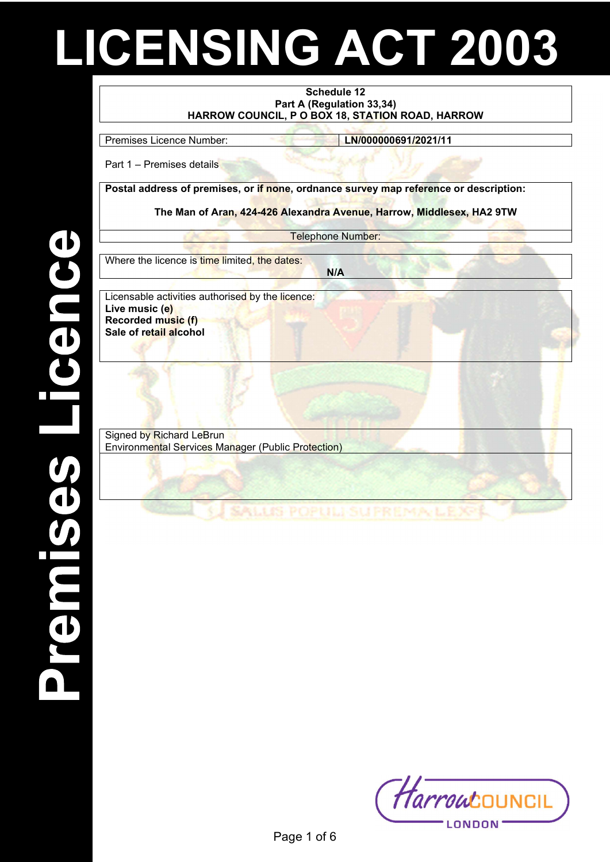# LICENSING ACT 2003

#### Schedule 12 Part A (Regulation 33,34) HARROW COUNCIL, P O BOX 18, STATION ROAD, HARROW

Premises Licence Number: LN/000000691/2021/11

Part 1 – Premises details

Postal address of premises, or if none, ordnance survey map reference or description:

The Man of Aran, 424-426 Alexandra Avenue, Harrow, Middlesex, HA2 9TW

Telephone Number:

N/A

Where the licence is time limited, the dates:

Licensable activities authorised by the licence: Live music (e) Recorded music (f) Sale of retail alcohol

Signed by Richard LeBrun Environmental Services Manager (Public Protection)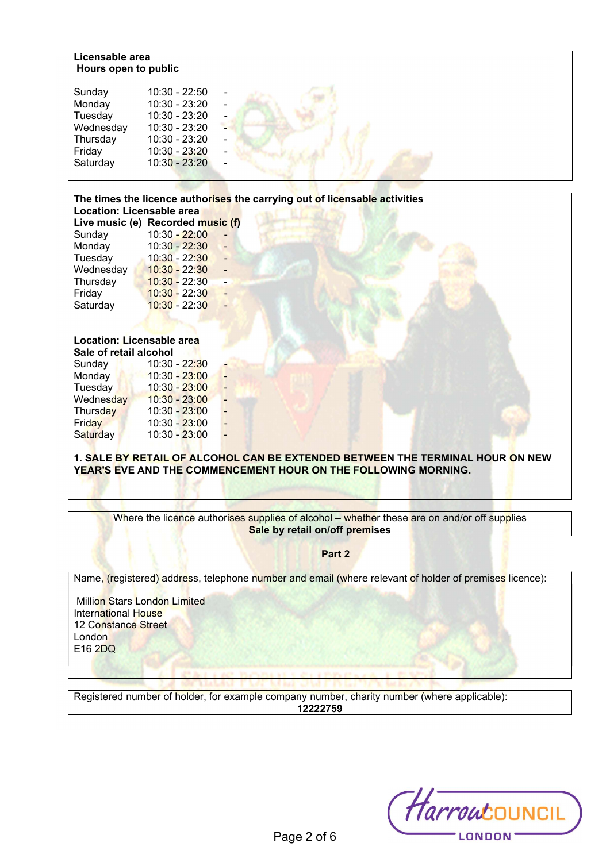## Licensable area Hours open to public

| The times the licence authorises the carrying out of licensable activities |                                   |  |
|----------------------------------------------------------------------------|-----------------------------------|--|
| Location: Licensable area                                                  |                                   |  |
|                                                                            | Live music (e) Recorded music (f) |  |
| Sunday                                                                     | $10:30 - 22:00$                   |  |
| Monday                                                                     | $10:30 - 22:30$                   |  |
|                                                                            | Tuesday 10:30 - 22:30 -           |  |
| Wednesday                                                                  | $10:30 - 22:30$                   |  |
| Thursday                                                                   | $10:30 - 22:30$                   |  |
| Friday                                                                     | $10:30 - 22:30$                   |  |
| Saturday                                                                   | $10:30 - 22:30$                   |  |
|                                                                            |                                   |  |
|                                                                            |                                   |  |
| Location: Licensable area                                                  |                                   |  |
| Sale of retail alcohol                                                     |                                   |  |
| Sunday                                                                     | 10:30 - 22 <mark>:3</mark> 0      |  |
| <b>Monday</b>                                                              | $10:30 - 23:00$                   |  |
| <b>Tuesday</b>                                                             | $10:30 - 23:00$                   |  |
| Wednesday                                                                  | $10:30 - 23:00$                   |  |
| Thursday                                                                   | 10:30 - 23:00                     |  |
| Friday                                                                     | 10:30 - 23:00                     |  |
| Saturday                                                                   | 10:30 - 23:00                     |  |
|                                                                            |                                   |  |
|                                                                            |                                   |  |

1. SALE BY RETAIL OF ALCOHOL CAN BE EXTENDED BETWEEN THE TERMINAL HOUR ON NEW YEAR'S EVE AND THE COMMENCEMENT HOUR ON THE FOLLOWING MORNING.

Where the licence authorises supplies of alcohol – whether these are on and/or off supplies Sale by retail on/off premises

Part 2

Name, (registered) address, telephone number and email (where relevant of holder of premises licence):

 Million Stars London Limited International House 12 Constance Street **London** E16 2DQ

Registered number of holder, for example company number, charity number (where applicable): 12222759

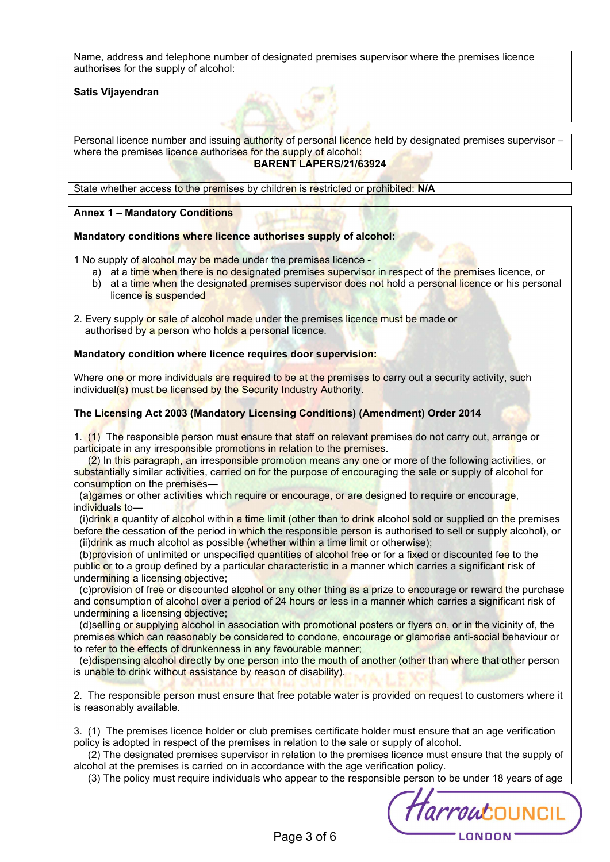Name, address and telephone number of designated premises supervisor where the premises licence authorises for the supply of alcohol:

### Satis Vijayendran

Personal licence number and issuing authority of personal licence held by designated premises supervisor – where the premises licence authorises for the supply of alcohol: BARENT LAPERS/21/63924

State whether access to the premises by children is restricted or prohibited: N/A

### Annex 1 – Mandatory Conditions

#### Mandatory conditions where licence authorises supply of alcohol:

1 No supply of alcohol may be made under the premises licence -

- a) at a time when there is no designated premises supervisor in respect of the premises licence, or
- b) at a time when the designated premises supervisor does not hold a personal licence or his personal licence is suspended
- 2. Every supply or sale of alcohol made under the premises licence must be made or authorised by a person who holds a personal licence.

#### Mandatory condition where licence requires door supervision:

Where one or more individuals are required to be at the premises to carry out a security activity, such individual(s) must be licensed by the Security Industry Authority.

#### The Licensing Act 2003 (Mandatory Licensing Conditions) (Amendment) Order 2014

1. (1) The responsible person must ensure that staff on relevant premises do not carry out, arrange or participate in any irresponsible promotions in relation to the premises.

 (2) In this paragraph, an irresponsible promotion means any one or more of the following activities, or substantially similar activities, carried on for the purpose of encouraging the sale or supply of alcohol for consumption on the premises—

 (a)games or other activities which require or encourage, or are designed to require or encourage, individuals to—

(i)drink a quantity of alcohol within a time limit (other than to drink alcohol sold or supplied on the premises before the cessation of the period in which the responsible person is authorised to sell or supply alcohol), or (ii)drink as much alcohol as possible (whether within a time limit or otherwise);

(b)provision of unlimited or unspecified quantities of alcohol free or for a fixed or discounted fee to the public or to a group defined by a particular characteristic in a manner which carries a significant risk of undermining a licensing objective;

 (c)provision of free or discounted alcohol or any other thing as a prize to encourage or reward the purchase and consumption of alcohol over a period of 24 hours or less in a manner which carries a significant risk of undermining a licensing objective;

 (d)selling or supplying alcohol in association with promotional posters or flyers on, or in the vicinity of, the premises which can reasonably be considered to condone, encourage or glamorise anti-social behaviour or to refer to the effects of drunkenness in any favourable manner;

 (e)dispensing alcohol directly by one person into the mouth of another (other than where that other person is unable to drink without assistance by reason of disability).

2. The responsible person must ensure that free potable water is provided on request to customers where it is reasonably available.

3. (1) The premises licence holder or club premises certificate holder must ensure that an age verification policy is adopted in respect of the premises in relation to the sale or supply of alcohol.

 (2) The designated premises supervisor in relation to the premises licence must ensure that the supply of alcohol at the premises is carried on in accordance with the age verification policy.

(3) The policy must require individuals who appear to the responsible person to be under 18 years of age

Harroucouncil LONDON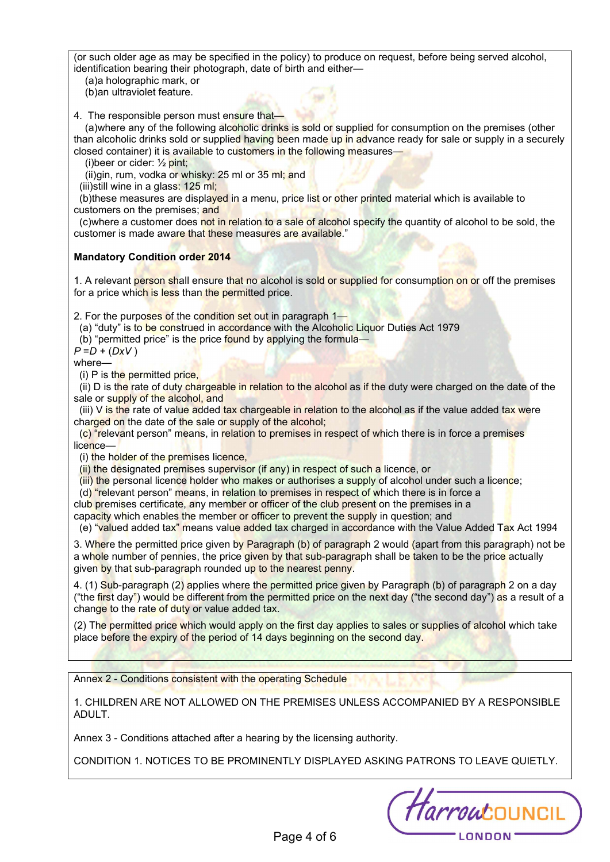(or such older age as may be specified in the policy) to produce on request, before being served alcohol, identification bearing their photograph, date of birth and either—

(a)a holographic mark, or

(b)an ultraviolet feature.

4. The responsible person must ensure that-

(a)where any of the following alcoholic drinks is sold or supplied for consumption on the premises (other than alcoholic drinks sold or supplied having been made up in advance ready for sale or supply in a securely closed container) it is available to customers in the following measures—

(i) beer or cider:  $\frac{1}{2}$  pint;

(ii)gin, rum, vodka or whisky: 25 ml or 35 ml; and

(iii)still wine in a glass: 125 ml;

(b)these measures are displayed in a menu, price list or other printed material which is available to customers on the premises; and

(c)where a customer does not in relation to a sale of alcohol specify the quantity of alcohol to be sold, the customer is made aware that these measures are available."

# Mandatory Condition order 2014

1. A relevant person shall ensure that no alcohol is sold or supplied for consumption on or off the premises for a price which is less than the permitted price.

2. For the purposes of the condition set out in paragraph 1—

(a) "duty" is to be construed in accordance with the Alcoholic Liquor Duties Act 1979

(b) "permitted price" is the price found by applying the formula—

 $P = D + (DxV)$ 

where—

(i) P is the permitted price,

 (ii) D is the rate of duty chargeable in relation to the alcohol as if the duty were charged on the date of the sale or supply of the alcohol, and

(iii) V is the rate of value added tax chargeable in relation to the alcohol as if the value added tax were charged on the date of the sale or supply of the alcohol;

 (c) "relevant person" means, in relation to premises in respect of which there is in force a premises licence-

(i) the holder of the premises licence,

(ii) the designated premises supervisor (if any) in respect of such a licence, or

(iii) the personal licence holder who makes or authorises a supply of alcohol under such a licence;

(d) "relevant person" means, in relation to premises in respect of which there is in force a

club premises certificate, any member or officer of the club present on the premises in a

capacity which enables the member or officer to prevent the supply in question; and

(e) "valued added tax" means value added tax charged in accordance with the Value Added Tax Act 1994

3. Where the permitted price given by Paragraph (b) of paragraph 2 would (apart from this paragraph) not be a whole number of pennies, the price given by that sub-paragraph shall be taken to be the price actually given by that sub-paragraph rounded up to the nearest penny.

4. (1) Sub-paragraph (2) applies where the permitted price given by Paragraph (b) of paragraph 2 on a day ("the first day") would be different from the permitted price on the next day ("the second day") as a result of a change to the rate of duty or value added tax.

(2) The permitted price which would apply on the first day applies to sales or supplies of alcohol which take place before the expiry of the period of 14 days beginning on the second day.

Annex 2 - Conditions consistent with the operating Schedule

1. CHILDREN ARE NOT ALLOWED ON THE PREMISES UNLESS ACCOMPANIED BY A RESPONSIBLE ADULT.

Annex 3 - Conditions attached after a hearing by the licensing authority.

CONDITION 1. NOTICES TO BE PROMINENTLY DISPLAYED ASKING PATRONS TO LEAVE QUIETLY.

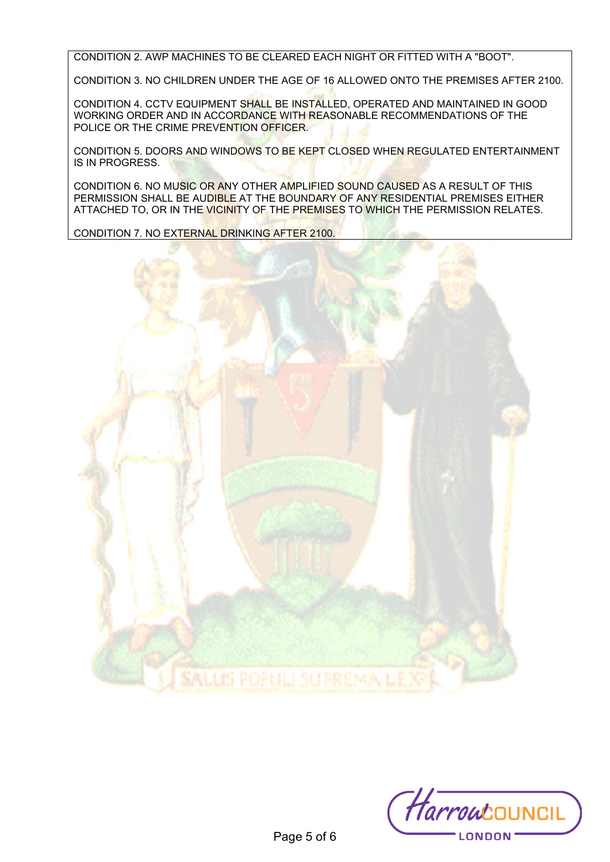CONDITION 2. AWP MACHINES TO BE CLEARED EACH NIGHT OR FITTED WITH A "BOOT".

CONDITION 3. NO CHILDREN UNDER THE AGE OF 16 ALLOWED ONTO THE PREMISES AFTER 2100.

CONDITION 4. CCTV EQUIPMENT SHALL BE INSTALLED, OPERATED AND MAINTAINED IN GOOD WORKING ORDER AND IN ACCORDANCE WITH REASONABLE RECOMMENDATIONS OF THE POLICE OR THE CRIME PREVENTION OFFICER.

CONDITION 5. DOORS AND WINDOWS TO BE KEPT CLOSED WHEN REGULATED ENTERTAINMENT IS IN PROGRESS.

CONDITION 6. NO MUSIC OR ANY OTHER AMPLIFIED SOUND CAUSED AS A RESULT OF THIS PERMISSION SHALL BE AUDIBLE AT THE BOUNDARY OF ANY RESIDENTIAL PREMISES EITHER ATTACHED TO, OR IN THE VICINITY OF THE PREMISES TO WHICH THE PERMISSION RELATES.

CONDITION 7. NO EXTERNAL DRINKING AFTER 2100.